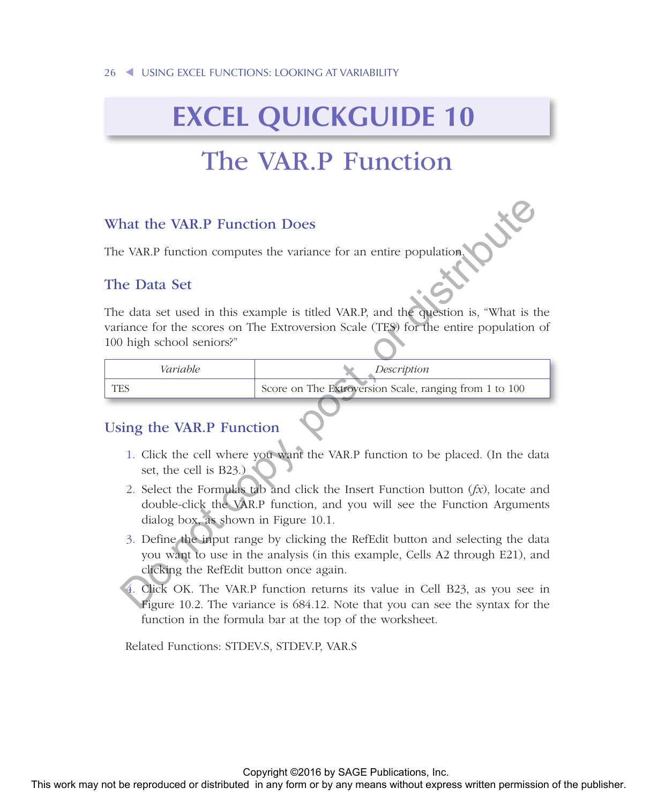# **EXCEL QUICKGUIDE 10**

# The VAR.P Function

#### What the VAR.P Function Does

The VAR.P function computes the variance for an entire population.

#### The Data Set

The data set used in this example is titled VAR.P, and the question is, "What is the variance for the scores on The Extroversion Scale (TES) for the entire population of 100 high school seniors?" What the VAR.P Function Does<br>
The VAR.P function computes the variance for an entire population  $\sqrt{2}$ <br>
The return set used in this example is rided VAR.P, and the publisher is, "What is the<br>
variance to the scores on Th

| Variable | Description                                            |
|----------|--------------------------------------------------------|
| TES      | Score on The Extroversion Scale, ranging from 1 to 100 |

### Using the VAR.P Function

- 1. Click the cell where you want the VAR.P function to be placed. (In the data set, the cell is B23.)
- 2. Select the Formulas tab and click the Insert Function button (*fx*), locate and double-click the VAR.P function, and you will see the Function Arguments dialog box, as shown in Figure 10.1.
- 3. Define the input range by clicking the RefEdit button and selecting the data you want to use in the analysis (in this example, Cells A2 through E21), and clicking the RefEdit button once again.
- 4. Click OK. The VAR.P function returns its value in Cell B23, as you see in Figure 10.2. The variance is 684.12. Note that you can see the syntax for the function in the formula bar at the top of the worksheet.

Related Functions: STDEV.S, STDEV.P, VAR.S